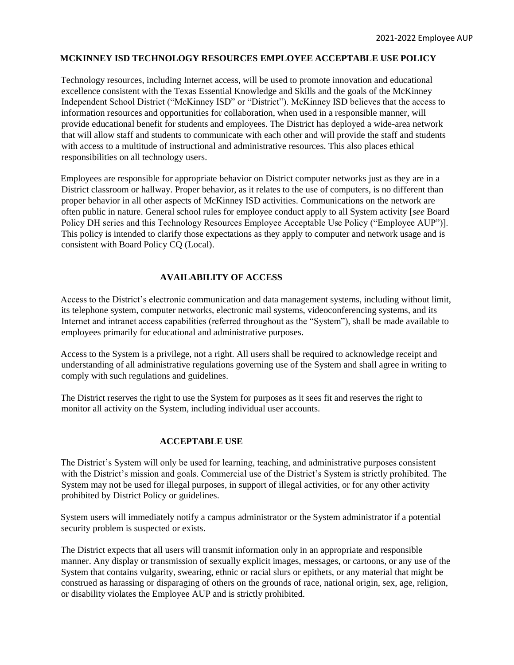### **MCKINNEY ISD TECHNOLOGY RESOURCES EMPLOYEE ACCEPTABLE USE POLICY**

Technology resources, including Internet access, will be used to promote innovation and educational excellence consistent with the Texas Essential Knowledge and Skills and the goals of the McKinney Independent School District ("McKinney ISD" or "District"). McKinney ISD believes that the access to information resources and opportunities for collaboration, when used in a responsible manner, will provide educational benefit for students and employees. The District has deployed a wide-area network that will allow staff and students to communicate with each other and will provide the staff and students with access to a multitude of instructional and administrative resources. This also places ethical responsibilities on all technology users.

Employees are responsible for appropriate behavior on District computer networks just as they are in a District classroom or hallway. Proper behavior, as it relates to the use of computers, is no different than proper behavior in all other aspects of McKinney ISD activities. Communications on the network are often public in nature. General school rules for employee conduct apply to all System activity [*see* Board Policy DH series and this Technology Resources Employee Acceptable Use Policy ("Employee AUP")]. This policy is intended to clarify those expectations as they apply to computer and network usage and is consistent with Board Policy CQ (Local).

# **AVAILABILITY OF ACCESS**

Access to the District's electronic communication and data management systems, including without limit, its telephone system, computer networks, electronic mail systems, videoconferencing systems, and its Internet and intranet access capabilities (referred throughout as the "System"), shall be made available to employees primarily for educational and administrative purposes.

Access to the System is a privilege, not a right. All users shall be required to acknowledge receipt and understanding of all administrative regulations governing use of the System and shall agree in writing to comply with such regulations and guidelines.

The District reserves the right to use the System for purposes as it sees fit and reserves the right to monitor all activity on the System, including individual user accounts.

### **ACCEPTABLE USE**

The District's System will only be used for learning, teaching, and administrative purposes consistent with the District's mission and goals. Commercial use of the District's System is strictly prohibited. The System may not be used for illegal purposes, in support of illegal activities, or for any other activity prohibited by District Policy or guidelines.

System users will immediately notify a campus administrator or the System administrator if a potential security problem is suspected or exists.

The District expects that all users will transmit information only in an appropriate and responsible manner. Any display or transmission of sexually explicit images, messages, or cartoons, or any use of the System that contains vulgarity, swearing, ethnic or racial slurs or epithets, or any material that might be construed as harassing or disparaging of others on the grounds of race, national origin, sex, age, religion, or disability violates the Employee AUP and is strictly prohibited.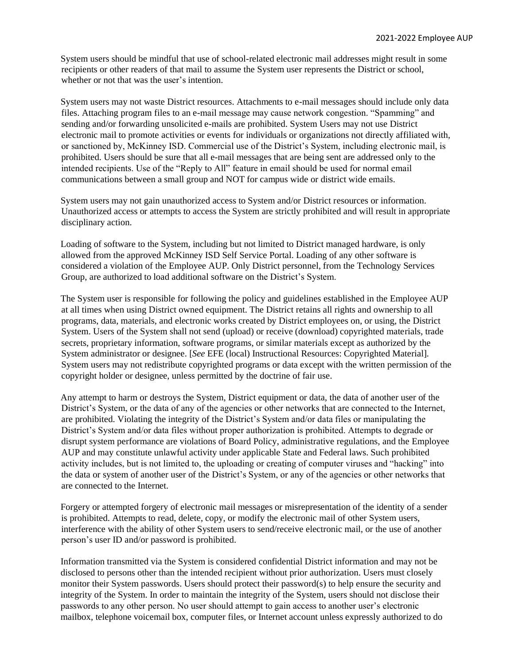System users should be mindful that use of school-related electronic mail addresses might result in some recipients or other readers of that mail to assume the System user represents the District or school, whether or not that was the user's intention.

System users may not waste District resources. Attachments to e-mail messages should include only data files. Attaching program files to an e-mail message may cause network congestion. "Spamming" and sending and/or forwarding unsolicited e-mails are prohibited. System Users may not use District electronic mail to promote activities or events for individuals or organizations not directly affiliated with, or sanctioned by, McKinney ISD. Commercial use of the District's System, including electronic mail, is prohibited. Users should be sure that all e-mail messages that are being sent are addressed only to the intended recipients. Use of the "Reply to All" feature in email should be used for normal email communications between a small group and NOT for campus wide or district wide emails.

System users may not gain unauthorized access to System and/or District resources or information. Unauthorized access or attempts to access the System are strictly prohibited and will result in appropriate disciplinary action.

Loading of software to the System, including but not limited to District managed hardware, is only allowed from the approved McKinney ISD Self Service Portal. Loading of any other software is considered a violation of the Employee AUP. Only District personnel, from the Technology Services Group, are authorized to load additional software on the District's System.

The System user is responsible for following the policy and guidelines established in the Employee AUP at all times when using District owned equipment. The District retains all rights and ownership to all programs, data, materials, and electronic works created by District employees on, or using, the District System. Users of the System shall not send (upload) or receive (download) copyrighted materials, trade secrets, proprietary information, software programs, or similar materials except as authorized by the System administrator or designee. [*See* EFE (local) Instructional Resources: Copyrighted Material]. System users may not redistribute copyrighted programs or data except with the written permission of the copyright holder or designee, unless permitted by the doctrine of fair use.

Any attempt to harm or destroys the System, District equipment or data, the data of another user of the District's System, or the data of any of the agencies or other networks that are connected to the Internet, are prohibited. Violating the integrity of the District's System and/or data files or manipulating the District's System and/or data files without proper authorization is prohibited. Attempts to degrade or disrupt system performance are violations of Board Policy, administrative regulations, and the Employee AUP and may constitute unlawful activity under applicable State and Federal laws. Such prohibited activity includes, but is not limited to, the uploading or creating of computer viruses and "hacking" into the data or system of another user of the District's System, or any of the agencies or other networks that are connected to the Internet.

Forgery or attempted forgery of electronic mail messages or misrepresentation of the identity of a sender is prohibited. Attempts to read, delete, copy, or modify the electronic mail of other System users, interference with the ability of other System users to send/receive electronic mail, or the use of another person's user ID and/or password is prohibited.

Information transmitted via the System is considered confidential District information and may not be disclosed to persons other than the intended recipient without prior authorization. Users must closely monitor their System passwords. Users should protect their password(s) to help ensure the security and integrity of the System. In order to maintain the integrity of the System, users should not disclose their passwords to any other person. No user should attempt to gain access to another user's electronic mailbox, telephone voicemail box, computer files, or Internet account unless expressly authorized to do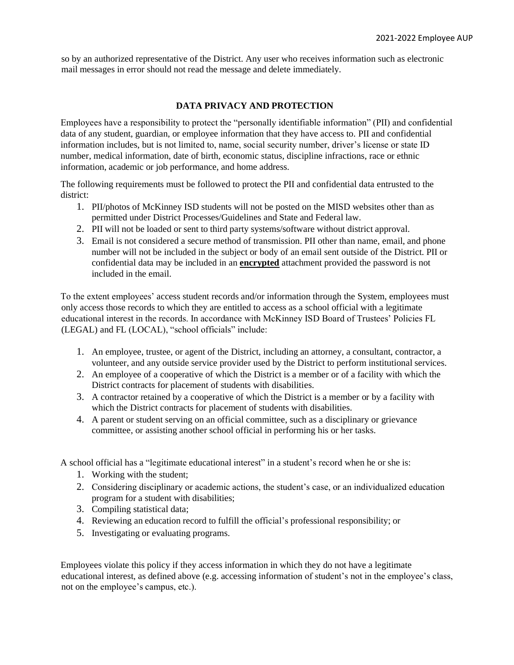so by an authorized representative of the District. Any user who receives information such as electronic mail messages in error should not read the message and delete immediately.

## **DATA PRIVACY AND PROTECTION**

Employees have a responsibility to protect the "personally identifiable information" (PII) and confidential data of any student, guardian, or employee information that they have access to. PII and confidential information includes, but is not limited to, name, social security number, driver's license or state ID number, medical information, date of birth, economic status, discipline infractions, race or ethnic information, academic or job performance, and home address.

The following requirements must be followed to protect the PII and confidential data entrusted to the district:

- 1. PII/photos of McKinney ISD students will not be posted on the MISD websites other than as permitted under District Processes/Guidelines and State and Federal law.
- 2. PII will not be loaded or sent to third party systems/software without district approval.
- 3. Email is not considered a secure method of transmission. PII other than name, email, and phone number will not be included in the subject or body of an email sent outside of the District. PII or confidential data may be included in an **encrypted** attachment provided the password is not included in the email.

To the extent employees' access student records and/or information through the System, employees must only access those records to which they are entitled to access as a school official with a legitimate educational interest in the records. In accordance with McKinney ISD Board of Trustees' Policies FL (LEGAL) and FL (LOCAL), "school officials" include:

- 1. An employee, trustee, or agent of the District, including an attorney, a consultant, contractor, a volunteer, and any outside service provider used by the District to perform institutional services.
- 2. An employee of a cooperative of which the District is a member or of a facility with which the District contracts for placement of students with disabilities.
- 3. A contractor retained by a cooperative of which the District is a member or by a facility with which the District contracts for placement of students with disabilities.
- 4. A parent or student serving on an official committee, such as a disciplinary or grievance committee, or assisting another school official in performing his or her tasks.

A school official has a "legitimate educational interest" in a student's record when he or she is:

- 1. Working with the student;
- 2. Considering disciplinary or academic actions, the student's case, or an individualized education program for a student with disabilities;
- 3. Compiling statistical data;
- 4. Reviewing an education record to fulfill the official's professional responsibility; or
- 5. Investigating or evaluating programs.

Employees violate this policy if they access information in which they do not have a legitimate educational interest, as defined above (e.g. accessing information of student's not in the employee's class, not on the employee's campus, etc.).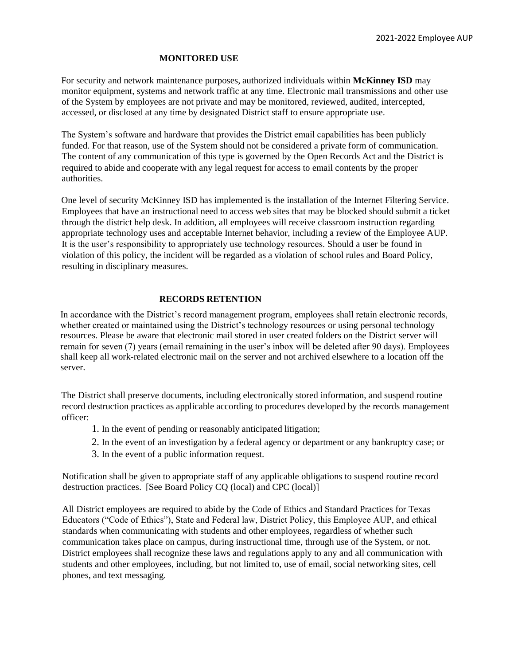#### **MONITORED USE**

For security and network maintenance purposes, authorized individuals within **McKinney ISD** may monitor equipment, systems and network traffic at any time. Electronic mail transmissions and other use of the System by employees are not private and may be monitored, reviewed, audited, intercepted, accessed, or disclosed at any time by designated District staff to ensure appropriate use.

The System's software and hardware that provides the District email capabilities has been publicly funded. For that reason, use of the System should not be considered a private form of communication. The content of any communication of this type is governed by the Open Records Act and the District is required to abide and cooperate with any legal request for access to email contents by the proper authorities.

One level of security McKinney ISD has implemented is the installation of the Internet Filtering Service. Employees that have an instructional need to access web sites that may be blocked should submit a ticket through the district help desk. In addition, all employees will receive classroom instruction regarding appropriate technology uses and acceptable Internet behavior, including a review of the Employee AUP. It is the user's responsibility to appropriately use technology resources. Should a user be found in violation of this policy, the incident will be regarded as a violation of school rules and Board Policy, resulting in disciplinary measures.

### **RECORDS RETENTION**

In accordance with the District's record management program, employees shall retain electronic records, whether created or maintained using the District's technology resources or using personal technology resources. Please be aware that electronic mail stored in user created folders on the District server will remain for seven (7) years (email remaining in the user's inbox will be deleted after 90 days). Employees shall keep all work-related electronic mail on the server and not archived elsewhere to a location off the server.

The District shall preserve documents, including electronically stored information, and suspend routine record destruction practices as applicable according to procedures developed by the records management officer:

- 1. In the event of pending or reasonably anticipated litigation;
- 2. In the event of an investigation by a federal agency or department or any bankruptcy case; or
- 3. In the event of a public information request.

Notification shall be given to appropriate staff of any applicable obligations to suspend routine record destruction practices. [See Board Policy CQ (local) and CPC (local)]

All District employees are required to abide by the Code of Ethics and Standard Practices for Texas Educators ("Code of Ethics"), State and Federal law, District Policy, this Employee AUP, and ethical standards when communicating with students and other employees, regardless of whether such communication takes place on campus, during instructional time, through use of the System, or not. District employees shall recognize these laws and regulations apply to any and all communication with students and other employees, including, but not limited to, use of email, social networking sites, cell phones, and text messaging.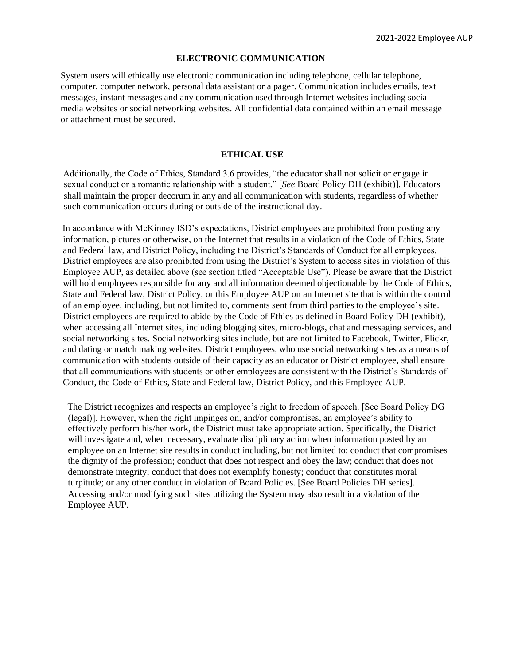#### **ELECTRONIC COMMUNICATION**

System users will ethically use electronic communication including telephone, cellular telephone, computer, computer network, personal data assistant or a pager. Communication includes emails, text messages, instant messages and any communication used through Internet websites including social media websites or social networking websites. All confidential data contained within an email message or attachment must be secured.

#### **ETHICAL USE**

Additionally, the Code of Ethics, Standard 3.6 provides, "the educator shall not solicit or engage in sexual conduct or a romantic relationship with a student." [*See* Board Policy DH (exhibit)]. Educators shall maintain the proper decorum in any and all communication with students, regardless of whether such communication occurs during or outside of the instructional day.

In accordance with McKinney ISD's expectations, District employees are prohibited from posting any information, pictures or otherwise, on the Internet that results in a violation of the Code of Ethics, State and Federal law, and District Policy, including the District's Standards of Conduct for all employees. District employees are also prohibited from using the District's System to access sites in violation of this Employee AUP, as detailed above (see section titled "Acceptable Use"). Please be aware that the District will hold employees responsible for any and all information deemed objectionable by the Code of Ethics, State and Federal law, District Policy, or this Employee AUP on an Internet site that is within the control of an employee, including, but not limited to, comments sent from third parties to the employee's site. District employees are required to abide by the Code of Ethics as defined in Board Policy DH (exhibit), when accessing all Internet sites, including blogging sites, micro-blogs, chat and messaging services, and social networking sites. Social networking sites include, but are not limited to Facebook, Twitter, Flickr, and dating or match making websites. District employees, who use social networking sites as a means of communication with students outside of their capacity as an educator or District employee, shall ensure that all communications with students or other employees are consistent with the District's Standards of Conduct, the Code of Ethics, State and Federal law, District Policy, and this Employee AUP.

The District recognizes and respects an employee's right to freedom of speech. [See Board Policy DG (legal)]. However, when the right impinges on, and/or compromises, an employee's ability to effectively perform his/her work, the District must take appropriate action. Specifically, the District will investigate and, when necessary, evaluate disciplinary action when information posted by an employee on an Internet site results in conduct including, but not limited to: conduct that compromises the dignity of the profession; conduct that does not respect and obey the law; conduct that does not demonstrate integrity; conduct that does not exemplify honesty; conduct that constitutes moral turpitude; or any other conduct in violation of Board Policies. [See Board Policies DH series]. Accessing and/or modifying such sites utilizing the System may also result in a violation of the Employee AUP.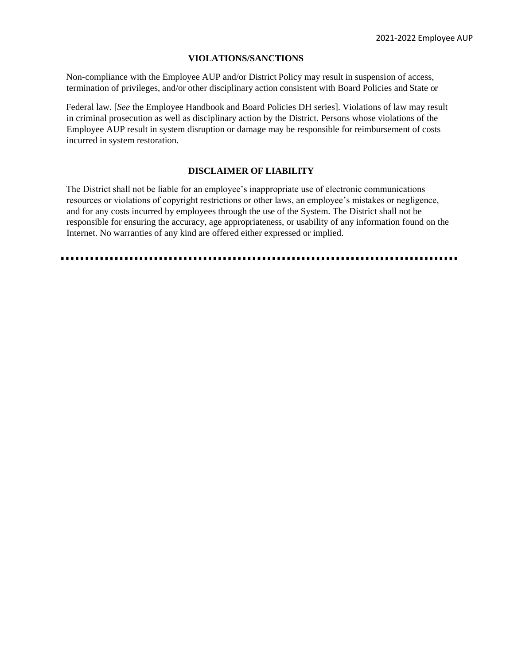### **VIOLATIONS/SANCTIONS**

Non-compliance with the Employee AUP and/or District Policy may result in suspension of access, termination of privileges, and/or other disciplinary action consistent with Board Policies and State or

Federal law. [*See* the Employee Handbook and Board Policies DH series]. Violations of law may result in criminal prosecution as well as disciplinary action by the District. Persons whose violations of the Employee AUP result in system disruption or damage may be responsible for reimbursement of costs incurred in system restoration.

### **DISCLAIMER OF LIABILITY**

The District shall not be liable for an employee's inappropriate use of electronic communications resources or violations of copyright restrictions or other laws, an employee's mistakes or negligence, and for any costs incurred by employees through the use of the System. The District shall not be responsible for ensuring the accuracy, age appropriateness, or usability of any information found on the Internet. No warranties of any kind are offered either expressed or implied.